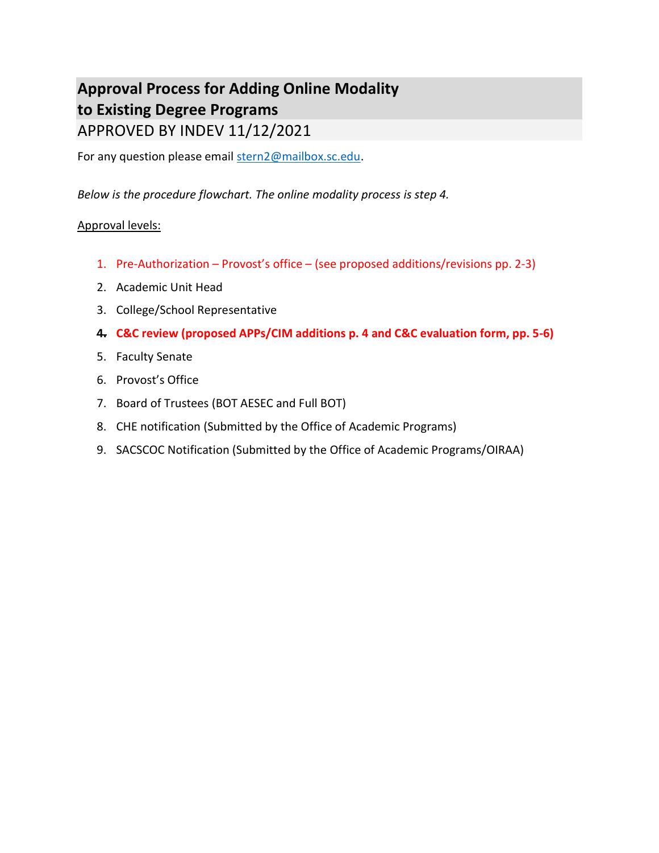# Approval Process for Adding Online Modality to Existing Degree Programs APPROVED BY INDEV 11/12/2021

For any question please email stern2@mailbox.sc.edu.

Below is the procedure flowchart. The online modality process is step 4.

# Approval levels:

- 1. Pre-Authorization Provost's office (see proposed additions/revisions pp. 2-3)
- 2. Academic Unit Head
- 3. College/School Representative
- 4. C&C review (proposed APPs/CIM additions p. 4 and C&C evaluation form, pp. 5-6)
- 5. Faculty Senate
- 6. Provost's Office
- 7. Board of Trustees (BOT AESEC and Full BOT)
- 8. CHE notification (Submitted by the Office of Academic Programs)
- 9. SACSCOC Notification (Submitted by the Office of Academic Programs/OIRAA)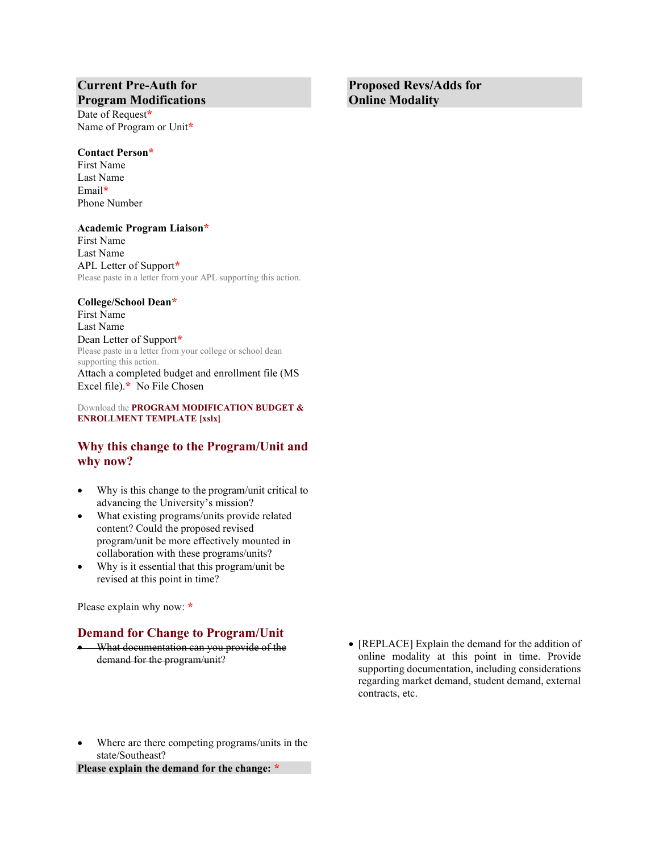## Current Pre-Auth for Program Modifications

Date of Request\* Name of Program or Unit\*

#### Contact Person\*

First Name Last Name Email\* Phone Number

#### Academic Program Liaison\*

First Name Last Name APL Letter of Support\* Please paste in a letter from your APL supporting this action.

#### College/School Dean\*

First Name Last Name Dean Letter of Support\* Please paste in a letter from your college or school dean supporting this action. Attach a completed budget and enrollment file (MS Excel file).\* No File Chosen

Download the PROGRAM MODIFICATION BUDGET & ENROLLMENT TEMPLATE [xslx].

#### Why this change to the Program/Unit and why now?

- Why is this change to the program/unit critical to advancing the University's mission?
- What existing programs/units provide related content? Could the proposed revised program/unit be more effectively mounted in collaboration with these programs/units?
- Why is it essential that this program/unit be revised at this point in time?

Please explain why now: \*

#### Demand for Change to Program/Unit

- What documentation can you provide of the demand for the program/unit?
- [REPLACE] Explain the demand for the addition of online modality at this point in time. Provide supporting documentation, including considerations regarding market demand, student demand, external contracts, etc.
- Where are there competing programs/units in the state/Southeast?

Please explain the demand for the change: \*

Proposed Revs/Adds for Online Modality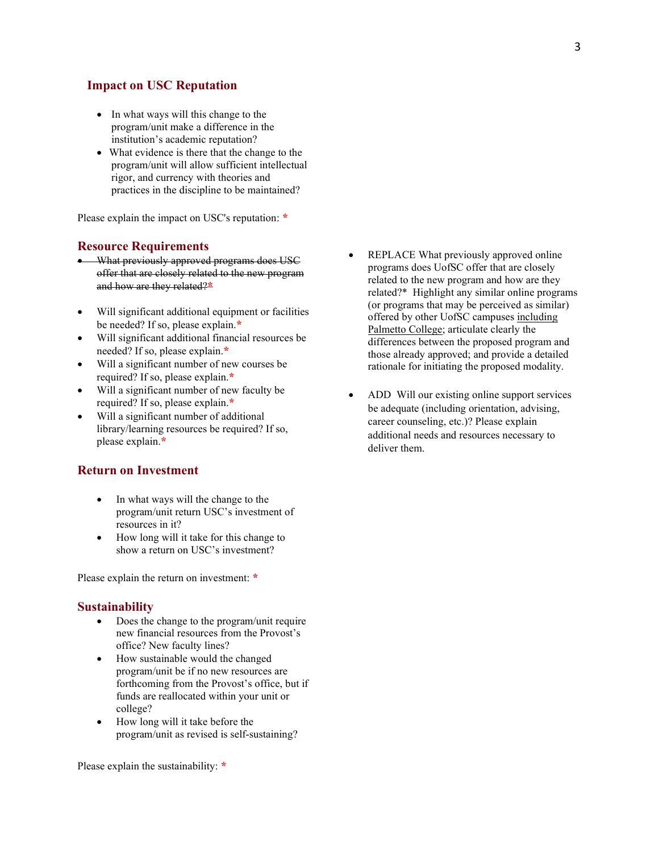#### Impact on USC Reputation

- In what ways will this change to the program/unit make a difference in the institution's academic reputation?
- What evidence is there that the change to the program/unit will allow sufficient intellectual rigor, and currency with theories and practices in the discipline to be maintained?

Please explain the impact on USC's reputation: \*

#### Resource Requirements

- $\bullet$  What previously approved programs does USC offer that are closely related to the new program and how are they related?\*
- Will significant additional equipment or facilities be needed? If so, please explain.\*
- Will significant additional financial resources be needed? If so, please explain.\*
- Will a significant number of new courses be required? If so, please explain.\*
- Will a significant number of new faculty be required? If so, please explain.\*
- Will a significant number of additional library/learning resources be required? If so, please explain.\*

#### Return on Investment

- In what ways will the change to the program/unit return USC's investment of resources in it?
- How long will it take for this change to show a return on USC's investment?

Please explain the return on investment: \*

#### **Sustainability**

- Does the change to the program/unit require new financial resources from the Provost's office? New faculty lines?
- How sustainable would the changed program/unit be if no new resources are forthcoming from the Provost's office, but if funds are reallocated within your unit or college?
- How long will it take before the program/unit as revised is self-sustaining?

Please explain the sustainability: \*

- REPLACE What previously approved online programs does UofSC offer that are closely related to the new program and how are they related?\* Highlight any similar online programs (or programs that may be perceived as similar) offered by other UofSC campuses including Palmetto College; articulate clearly the differences between the proposed program and those already approved; and provide a detailed rationale for initiating the proposed modality.
- ADD Will our existing online support services be adequate (including orientation, advising, career counseling, etc.)? Please explain additional needs and resources necessary to deliver them.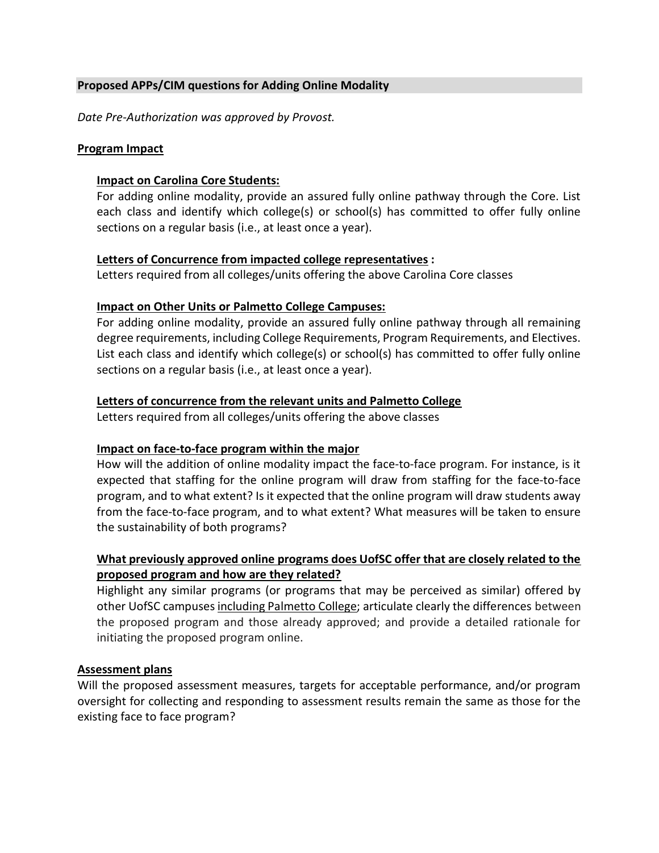# Proposed APPs/CIM questions for Adding Online Modality

Date Pre-Authorization was approved by Provost.

## Program Impact

## Impact on Carolina Core Students:

For adding online modality, provide an assured fully online pathway through the Core. List each class and identify which college(s) or school(s) has committed to offer fully online sections on a regular basis (i.e., at least once a year).

## Letters of Concurrence from impacted college representatives :

Letters required from all colleges/units offering the above Carolina Core classes

## Impact on Other Units or Palmetto College Campuses:

For adding online modality, provide an assured fully online pathway through all remaining degree requirements, including College Requirements, Program Requirements, and Electives. List each class and identify which college(s) or school(s) has committed to offer fully online sections on a regular basis (i.e., at least once a year).

## Letters of concurrence from the relevant units and Palmetto College

Letters required from all colleges/units offering the above classes

## Impact on face-to-face program within the major

How will the addition of online modality impact the face-to-face program. For instance, is it expected that staffing for the online program will draw from staffing for the face-to-face program, and to what extent? Is it expected that the online program will draw students away from the face-to-face program, and to what extent? What measures will be taken to ensure the sustainability of both programs?

# What previously approved online programs does UofSC offer that are closely related to the proposed program and how are they related?

Highlight any similar programs (or programs that may be perceived as similar) offered by other UofSC campuses including Palmetto College; articulate clearly the differences between the proposed program and those already approved; and provide a detailed rationale for initiating the proposed program online.

## Assessment plans

Will the proposed assessment measures, targets for acceptable performance, and/or program oversight for collecting and responding to assessment results remain the same as those for the existing face to face program?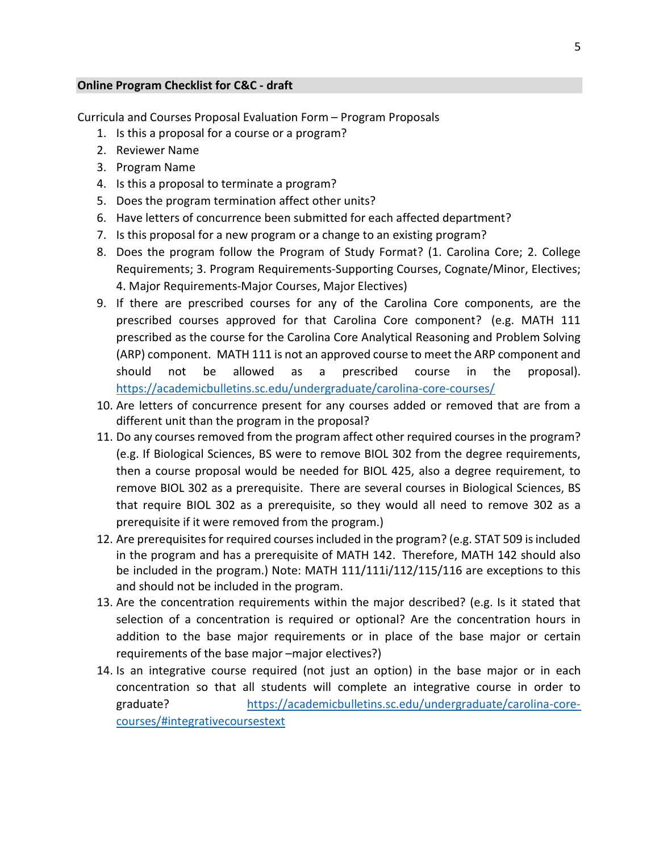#### Online Program Checklist for C&C - draft

Curricula and Courses Proposal Evaluation Form – Program Proposals

- 1. Is this a proposal for a course or a program?
- 2. Reviewer Name
- 3. Program Name
- 4. Is this a proposal to terminate a program?
- 5. Does the program termination affect other units?
- 6. Have letters of concurrence been submitted for each affected department?
- 7. Is this proposal for a new program or a change to an existing program?
- 8. Does the program follow the Program of Study Format? (1. Carolina Core; 2. College Requirements; 3. Program Requirements-Supporting Courses, Cognate/Minor, Electives; 4. Major Requirements-Major Courses, Major Electives)
- 9. If there are prescribed courses for any of the Carolina Core components, are the prescribed courses approved for that Carolina Core component? (e.g. MATH 111 prescribed as the course for the Carolina Core Analytical Reasoning and Problem Solving (ARP) component. MATH 111 is not an approved course to meet the ARP component and should not be allowed as a prescribed course in the proposal). https://academicbulletins.sc.edu/undergraduate/carolina-core-courses/
- 10. Are letters of concurrence present for any courses added or removed that are from a different unit than the program in the proposal?
- 11. Do any courses removed from the program affect other required courses in the program? (e.g. If Biological Sciences, BS were to remove BIOL 302 from the degree requirements, then a course proposal would be needed for BIOL 425, also a degree requirement, to remove BIOL 302 as a prerequisite. There are several courses in Biological Sciences, BS that require BIOL 302 as a prerequisite, so they would all need to remove 302 as a prerequisite if it were removed from the program.)
- 12. Are prerequisites for required courses included in the program? (e.g. STAT 509 is included in the program and has a prerequisite of MATH 142. Therefore, MATH 142 should also be included in the program.) Note: MATH 111/111i/112/115/116 are exceptions to this and should not be included in the program.
- 13. Are the concentration requirements within the major described? (e.g. Is it stated that selection of a concentration is required or optional? Are the concentration hours in addition to the base major requirements or in place of the base major or certain requirements of the base major –major electives?)
- 14. Is an integrative course required (not just an option) in the base major or in each concentration so that all students will complete an integrative course in order to graduate? https://academicbulletins.sc.edu/undergraduate/carolina-corecourses/#integrativecoursestext